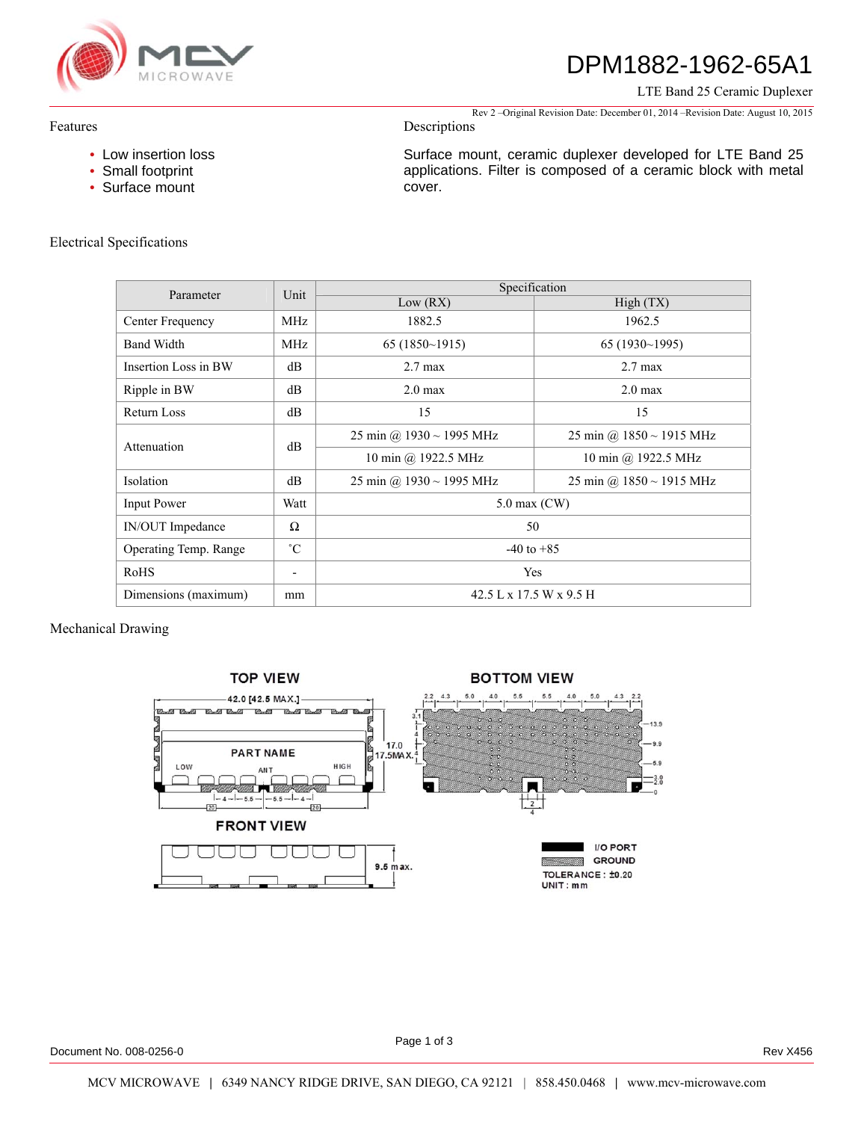

# DPM1882-1962-65A1

LTE Band 25 Ceramic Duplexer

Rev 2 –Original Revision Date: December 01, 2014 –Revision Date: August 10, 2015

Surface mount, ceramic duplexer developed for LTE Band 25 applications. Filter is composed of a ceramic block with metal

## Features

• Low insertion loss

Descriptions

cover.

• Small footprint • Surface mount

# Electrical Specifications

| Parameter             | Unit                     | Specification                 |                               |
|-----------------------|--------------------------|-------------------------------|-------------------------------|
|                       |                          | Low (RX)                      | High(TX)                      |
| Center Frequency      | <b>MHz</b>               | 1882.5                        | 1962.5                        |
| <b>Band Width</b>     | <b>MHz</b>               | 65(1850~1915)                 | 65(1930~1995)                 |
| Insertion Loss in BW  | dB                       | $2.7 \text{ max}$             | $2.7 \text{ max}$             |
| Ripple in BW          | dB                       | $2.0 \text{ max}$             | $2.0 \text{ max}$             |
| Return Loss           | dB                       | 15                            | 15                            |
| Attenuation           | dB                       | 25 min @ $1930 \sim 1995$ MHz | 25 min @ $1850 \sim 1915$ MHz |
|                       |                          | 10 min @ 1922.5 MHz           | 10 min @ 1922.5 MHz           |
| <b>Isolation</b>      | dB                       | 25 min @ $1930 \sim 1995$ MHz | 25 min @ $1850 \sim 1915$ MHz |
| <b>Input Power</b>    | Watt                     | $5.0$ max $(CW)$              |                               |
| IN/OUT Impedance      | $\Omega$                 | 50                            |                               |
| Operating Temp. Range | $^{\circ}C$              | $-40$ to $+85$                |                               |
| RoHS                  | $\overline{\phantom{a}}$ | Yes                           |                               |
| Dimensions (maximum)  | mm                       | 42.5 L x 17.5 W x 9.5 H       |                               |

Mechanical Drawing



Document No. 008-0256-0 Rev X456

Page 1 of 3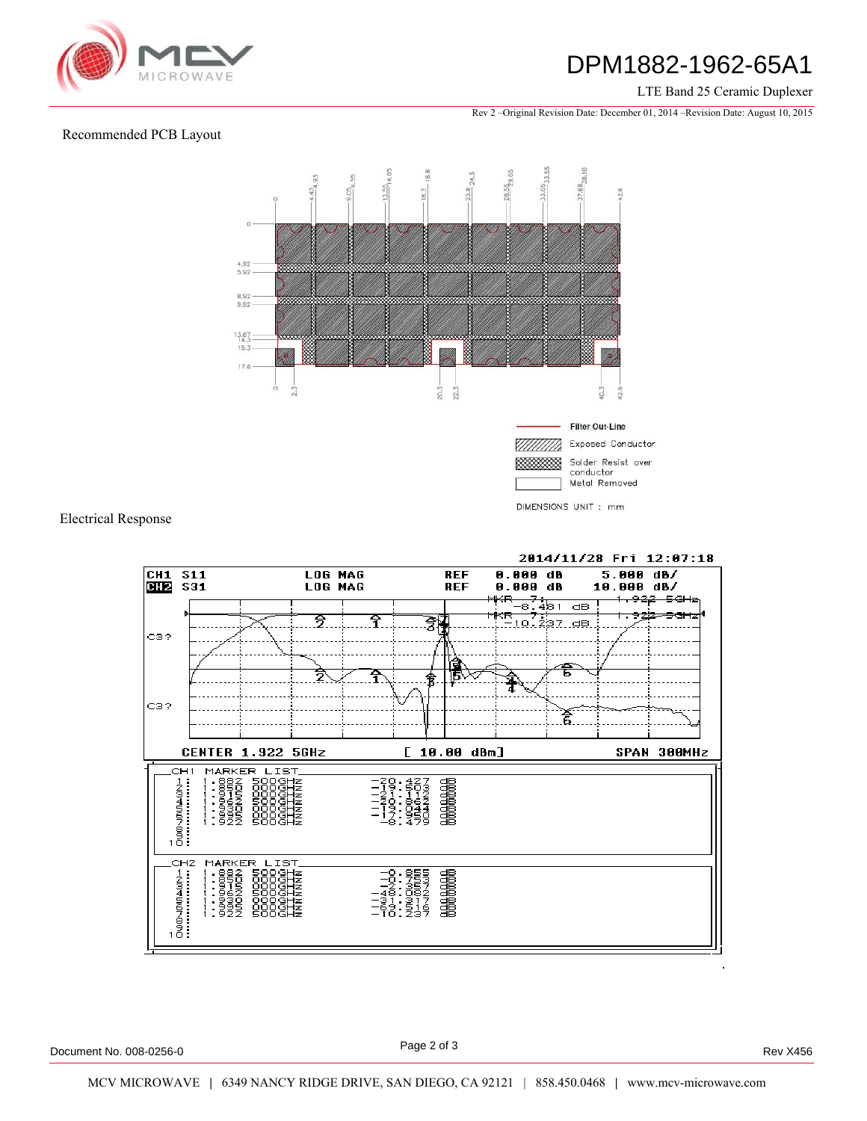

# DPM1882-1962-65A1

### LTE Band 25 Ceramic Duplexer

Rev 2 –Original Revision Date: December 01, 2014 –Revision Date: August 10, 2015

## Recommended PCB Layout



Electrical Response



2014/11/28 Fri 12:07:18

Document No. 008-0256-0 Rev X456